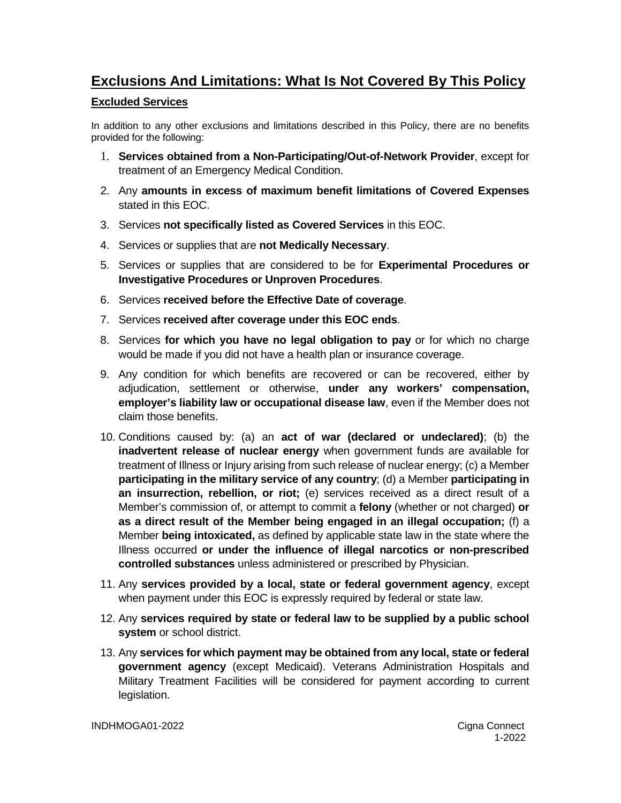## **Exclusions And Limitations: What Is Not Covered By This Policy**

## **Excluded Services**

In addition to any other exclusions and limitations described in this Policy, there are no benefits provided for the following:

- 1. **Services obtained from a Non-Participating/Out-of-Network Provider**, except for treatment of an Emergency Medical Condition.
- 2. Any **amounts in excess of maximum benefit limitations of Covered Expenses** stated in this EOC.
- 3. Services **not specifically listed as Covered Services** in this EOC.
- 4. Services or supplies that are **not Medically Necessary**.
- 5. Services or supplies that are considered to be for **Experimental Procedures or Investigative Procedures or Unproven Procedures**.
- 6. Services **received before the Effective Date of coverage**.
- 7. Services **received after coverage under this EOC ends**.
- 8. Services **for which you have no legal obligation to pay** or for which no charge would be made if you did not have a health plan or insurance coverage.
- 9. Any condition for which benefits are recovered or can be recovered, either by adjudication, settlement or otherwise, **under any workers' compensation, employer's liability law or occupational disease law**, even if the Member does not claim those benefits.
- 10. Conditions caused by: (a) an **act of war (declared or undeclared)**; (b) the **inadvertent release of nuclear energy** when government funds are available for treatment of Illness or Injury arising from such release of nuclear energy; (c) a Member **participating in the military service of any country**; (d) a Member **participating in an insurrection, rebellion, or riot;** (e) services received as a direct result of a Member's commission of, or attempt to commit a **felony** (whether or not charged) **or as a direct result of the Member being engaged in an illegal occupation;** (f) a Member **being intoxicated,** as defined by applicable state law in the state where the Illness occurred **or under the influence of illegal narcotics or non-prescribed controlled substances** unless administered or prescribed by Physician.
- 11. Any **services provided by a local, state or federal government agency**, except when payment under this EOC is expressly required by federal or state law.
- 12. Any **services required by state or federal law to be supplied by a public school system** or school district.
- 13. Any **services for which payment may be obtained from any local, state or federal government agency** (except Medicaid). Veterans Administration Hospitals and Military Treatment Facilities will be considered for payment according to current legislation.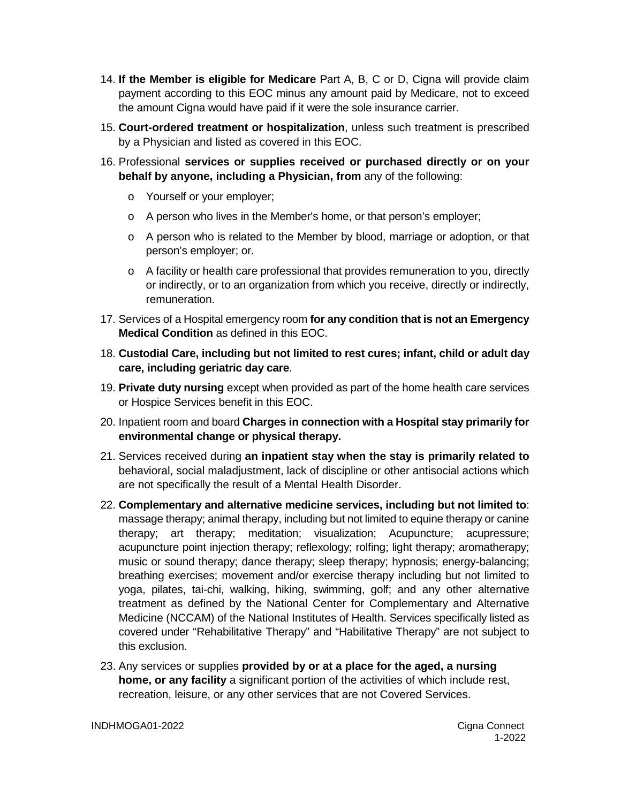- 14. **If the Member is eligible for Medicare** Part A, B, C or D, Cigna will provide claim payment according to this EOC minus any amount paid by Medicare, not to exceed the amount Cigna would have paid if it were the sole insurance carrier.
- 15. **Court-ordered treatment or hospitalization**, unless such treatment is prescribed by a Physician and listed as covered in this EOC.
- 16. Professional **services or supplies received or purchased directly or on your behalf by anyone, including a Physician, from** any of the following:
	- o Yourself or your employer;
	- o A person who lives in the Member's home, or that person's employer;
	- o A person who is related to the Member by blood, marriage or adoption, or that person's employer; or.
	- $\circ$  A facility or health care professional that provides remuneration to you, directly or indirectly, or to an organization from which you receive, directly or indirectly, remuneration.
- 17. Services of a Hospital emergency room **for any condition that is not an Emergency Medical Condition** as defined in this EOC.
- 18. **Custodial Care, including but not limited to rest cures; infant, child or adult day care, including geriatric day care**.
- 19. **Private duty nursing** except when provided as part of the home health care services or Hospice Services benefit in this EOC.
- 20. Inpatient room and board **Charges in connection with a Hospital stay primarily for environmental change or physical therapy.**
- 21. Services received during **an inpatient stay when the stay is primarily related to**  behavioral, social maladjustment, lack of discipline or other antisocial actions which are not specifically the result of a Mental Health Disorder.
- 22. **Complementary and alternative medicine services, including but not limited to**: massage therapy; animal therapy, including but not limited to equine therapy or canine therapy; art therapy; meditation; visualization; Acupuncture; acupressure; acupuncture point injection therapy; reflexology; rolfing; light therapy; aromatherapy; music or sound therapy; dance therapy; sleep therapy; hypnosis; energy-balancing; breathing exercises; movement and/or exercise therapy including but not limited to yoga, pilates, tai-chi, walking, hiking, swimming, golf; and any other alternative treatment as defined by the National Center for Complementary and Alternative Medicine (NCCAM) of the National Institutes of Health. Services specifically listed as covered under "Rehabilitative Therapy" and "Habilitative Therapy" are not subject to this exclusion.
- 23. Any services or supplies **provided by or at a place for the aged, a nursing home, or any facility** a significant portion of the activities of which include rest, recreation, leisure, or any other services that are not Covered Services.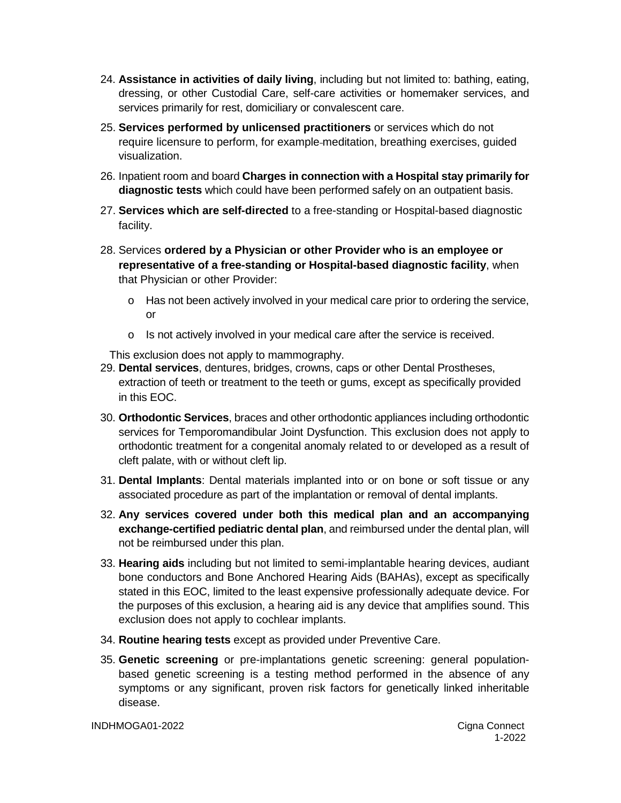- 24. **Assistance in activities of daily living**, including but not limited to: bathing, eating, dressing, or other Custodial Care, self-care activities or homemaker services, and services primarily for rest, domiciliary or convalescent care.
- 25. **Services performed by unlicensed practitioners** or services which do not require licensure to perform, for example meditation, breathing exercises, guided visualization.
- 26. Inpatient room and board **Charges in connection with a Hospital stay primarily for diagnostic tests** which could have been performed safely on an outpatient basis.
- 27. **Services which are self-directed** to a free-standing or Hospital-based diagnostic facility.
- 28. Services **ordered by a Physician or other Provider who is an employee or representative of a free-standing or Hospital-based diagnostic facility**, when that Physician or other Provider:
	- o Has not been actively involved in your medical care prior to ordering the service, or
	- o Is not actively involved in your medical care after the service is received.

This exclusion does not apply to mammography.

- 29. **Dental services**, dentures, bridges, crowns, caps or other Dental Prostheses, extraction of teeth or treatment to the teeth or gums, except as specifically provided in this EOC.
- 30. **Orthodontic Services**, braces and other orthodontic appliances including orthodontic services for Temporomandibular Joint Dysfunction. This exclusion does not apply to orthodontic treatment for a congenital anomaly related to or developed as a result of cleft palate, with or without cleft lip.
- 31. **Dental Implants**: Dental materials implanted into or on bone or soft tissue or any associated procedure as part of the implantation or removal of dental implants.
- 32. **Any services covered under both this medical plan and an accompanying exchange-certified pediatric dental plan**, and reimbursed under the dental plan, will not be reimbursed under this plan.
- 33. **Hearing aids** including but not limited to semi-implantable hearing devices, audiant bone conductors and Bone Anchored Hearing Aids (BAHAs), except as specifically stated in this EOC, limited to the least expensive professionally adequate device. For the purposes of this exclusion, a hearing aid is any device that amplifies sound. This exclusion does not apply to cochlear implants.
- 34. **Routine hearing tests** except as provided under Preventive Care.
- 35. **Genetic screening** or pre-implantations genetic screening: general populationbased genetic screening is a testing method performed in the absence of any symptoms or any significant, proven risk factors for genetically linked inheritable disease.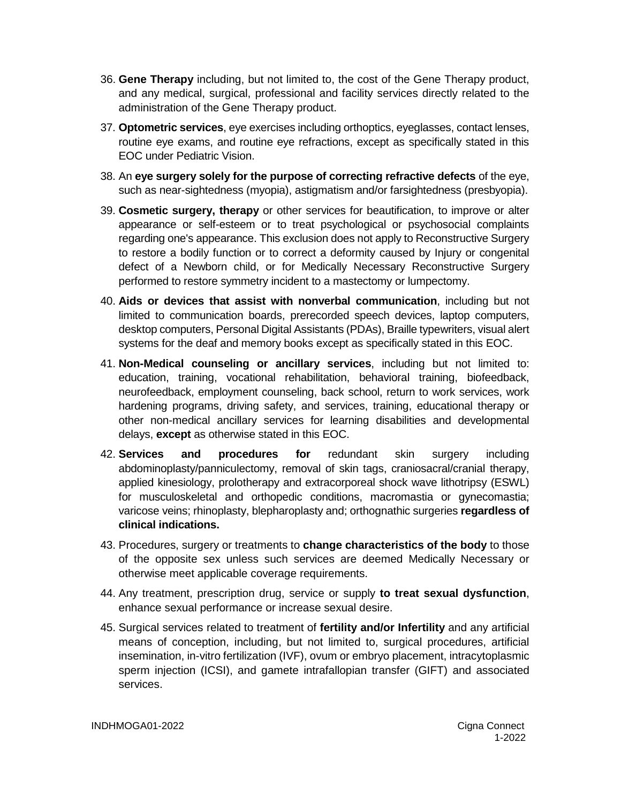- 36. **Gene Therapy** including, but not limited to, the cost of the Gene Therapy product, and any medical, surgical, professional and facility services directly related to the administration of the Gene Therapy product.
- 37. **Optometric services**, eye exercises including orthoptics, eyeglasses, contact lenses, routine eye exams, and routine eye refractions, except as specifically stated in this EOC under Pediatric Vision.
- 38. An **eye surgery solely for the purpose of correcting refractive defects** of the eye, such as near-sightedness (myopia), astigmatism and/or farsightedness (presbyopia).
- 39. **Cosmetic surgery, therapy** or other services for beautification, to improve or alter appearance or self-esteem or to treat psychological or psychosocial complaints regarding one's appearance. This exclusion does not apply to Reconstructive Surgery to restore a bodily function or to correct a deformity caused by Injury or congenital defect of a Newborn child, or for Medically Necessary Reconstructive Surgery performed to restore symmetry incident to a mastectomy or lumpectomy.
- 40. **Aids or devices that assist with nonverbal communication**, including but not limited to communication boards, prerecorded speech devices, laptop computers, desktop computers, Personal Digital Assistants (PDAs), Braille typewriters, visual alert systems for the deaf and memory books except as specifically stated in this EOC.
- 41. **Non-Medical counseling or ancillary services**, including but not limited to: education, training, vocational rehabilitation, behavioral training, biofeedback, neurofeedback, employment counseling, back school, return to work services, work hardening programs, driving safety, and services, training, educational therapy or other non-medical ancillary services for learning disabilities and developmental delays, **except** as otherwise stated in this EOC.
- 42. **Services and procedures for** redundant skin surgery including abdominoplasty/panniculectomy, removal of skin tags, craniosacral/cranial therapy, applied kinesiology, prolotherapy and extracorporeal shock wave lithotripsy (ESWL) for musculoskeletal and orthopedic conditions, macromastia or gynecomastia; varicose veins; rhinoplasty, blepharoplasty and; orthognathic surgeries **regardless of clinical indications.**
- 43. Procedures, surgery or treatments to **change characteristics of the body** to those of the opposite sex unless such services are deemed Medically Necessary or otherwise meet applicable coverage requirements.
- 44. Any treatment, prescription drug, service or supply **to treat sexual dysfunction**, enhance sexual performance or increase sexual desire.
- 45. Surgical services related to treatment of **fertility and/or Infertility** and any artificial means of conception, including, but not limited to, surgical procedures, artificial insemination, in-vitro fertilization (IVF), ovum or embryo placement, intracytoplasmic sperm injection (ICSI), and gamete intrafallopian transfer (GIFT) and associated services.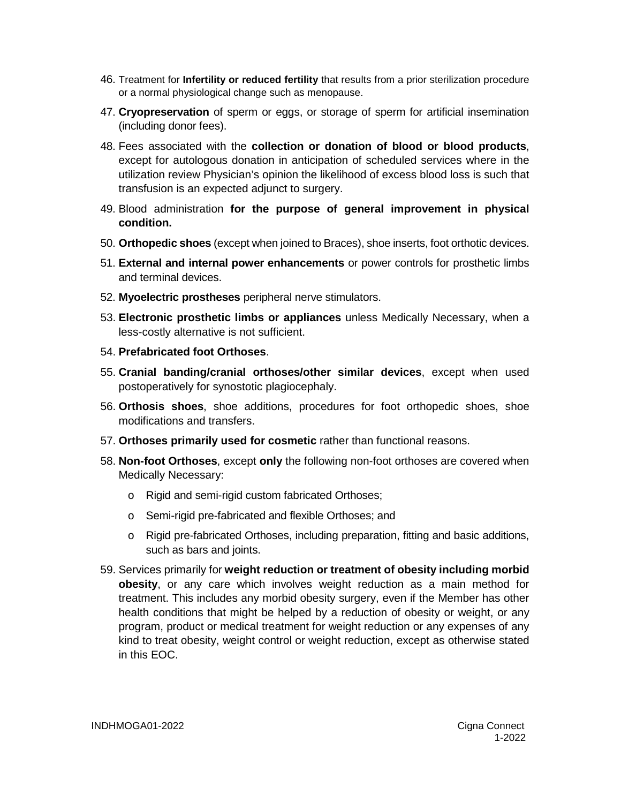- 46. Treatment for **Infertility or reduced fertility** that results from a prior sterilization procedure or a normal physiological change such as menopause.
- 47. **Cryopreservation** of sperm or eggs, or storage of sperm for artificial insemination (including donor fees).
- 48. Fees associated with the **collection or donation of blood or blood products**, except for autologous donation in anticipation of scheduled services where in the utilization review Physician's opinion the likelihood of excess blood loss is such that transfusion is an expected adjunct to surgery.
- 49. Blood administration **for the purpose of general improvement in physical condition.**
- 50. **Orthopedic shoes** (except when joined to Braces), shoe inserts, foot orthotic devices.
- 51. **External and internal power enhancements** or power controls for prosthetic limbs and terminal devices.
- 52. **Myoelectric prostheses** peripheral nerve stimulators.
- 53. **Electronic prosthetic limbs or appliances** unless Medically Necessary, when a less-costly alternative is not sufficient.
- 54. **Prefabricated foot Orthoses**.
- 55. **Cranial banding/cranial orthoses/other similar devices**, except when used postoperatively for synostotic plagiocephaly.
- 56. **Orthosis shoes**, shoe additions, procedures for foot orthopedic shoes, shoe modifications and transfers.
- 57. **Orthoses primarily used for cosmetic** rather than functional reasons.
- 58. **Non-foot Orthoses**, except **only** the following non-foot orthoses are covered when Medically Necessary:
	- o Rigid and semi-rigid custom fabricated Orthoses;
	- o Semi-rigid pre-fabricated and flexible Orthoses; and
	- o Rigid pre-fabricated Orthoses, including preparation, fitting and basic additions, such as bars and joints.
- 59. Services primarily for **weight reduction or treatment of obesity including morbid obesity**, or any care which involves weight reduction as a main method for treatment. This includes any morbid obesity surgery, even if the Member has other health conditions that might be helped by a reduction of obesity or weight, or any program, product or medical treatment for weight reduction or any expenses of any kind to treat obesity, weight control or weight reduction, except as otherwise stated in this EOC.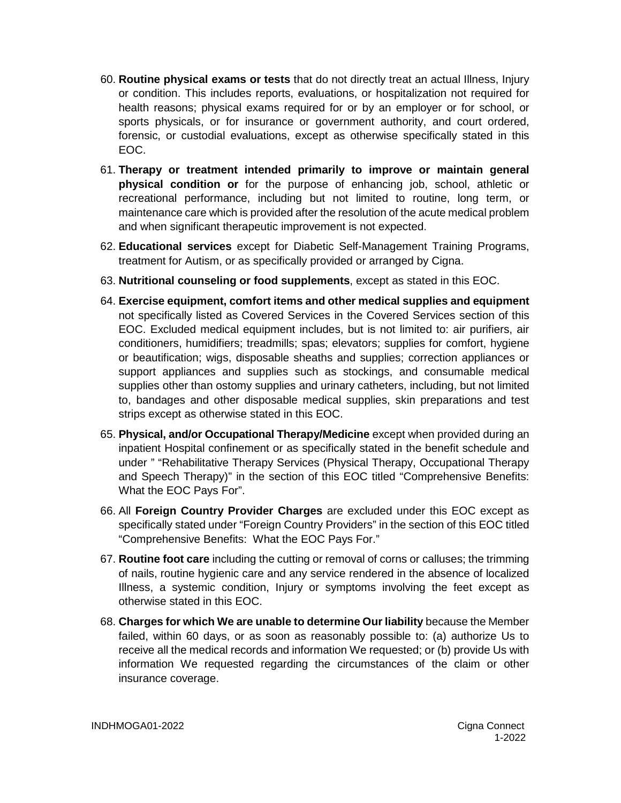- 60. **Routine physical exams or tests** that do not directly treat an actual Illness, Injury or condition. This includes reports, evaluations, or hospitalization not required for health reasons; physical exams required for or by an employer or for school, or sports physicals, or for insurance or government authority, and court ordered, forensic, or custodial evaluations, except as otherwise specifically stated in this EOC.
- 61. **Therapy or treatment intended primarily to improve or maintain general physical condition or** for the purpose of enhancing job, school, athletic or recreational performance, including but not limited to routine, long term, or maintenance care which is provided after the resolution of the acute medical problem and when significant therapeutic improvement is not expected.
- 62. **Educational services** except for Diabetic Self-Management Training Programs, treatment for Autism, or as specifically provided or arranged by Cigna.
- 63. **Nutritional counseling or food supplements**, except as stated in this EOC.
- 64. **Exercise equipment, comfort items and other medical supplies and equipment** not specifically listed as Covered Services in the Covered Services section of this EOC. Excluded medical equipment includes, but is not limited to: air purifiers, air conditioners, humidifiers; treadmills; spas; elevators; supplies for comfort, hygiene or beautification; wigs, disposable sheaths and supplies; correction appliances or support appliances and supplies such as stockings, and consumable medical supplies other than ostomy supplies and urinary catheters, including, but not limited to, bandages and other disposable medical supplies, skin preparations and test strips except as otherwise stated in this EOC.
- 65. **Physical, and/or Occupational Therapy/Medicine** except when provided during an inpatient Hospital confinement or as specifically stated in the benefit schedule and under " "Rehabilitative Therapy Services (Physical Therapy, Occupational Therapy and Speech Therapy)" in the section of this EOC titled "Comprehensive Benefits: What the EOC Pays For".
- 66. All **Foreign Country Provider Charges** are excluded under this EOC except as specifically stated under "Foreign Country Providers" in the section of this EOC titled "Comprehensive Benefits: What the EOC Pays For."
- 67. **Routine foot care** including the cutting or removal of corns or calluses; the trimming of nails, routine hygienic care and any service rendered in the absence of localized Illness, a systemic condition, Injury or symptoms involving the feet except as otherwise stated in this EOC.
- 68. **Charges for which We are unable to determine Our liability** because the Member failed, within 60 days, or as soon as reasonably possible to: (a) authorize Us to receive all the medical records and information We requested; or (b) provide Us with information We requested regarding the circumstances of the claim or other insurance coverage.